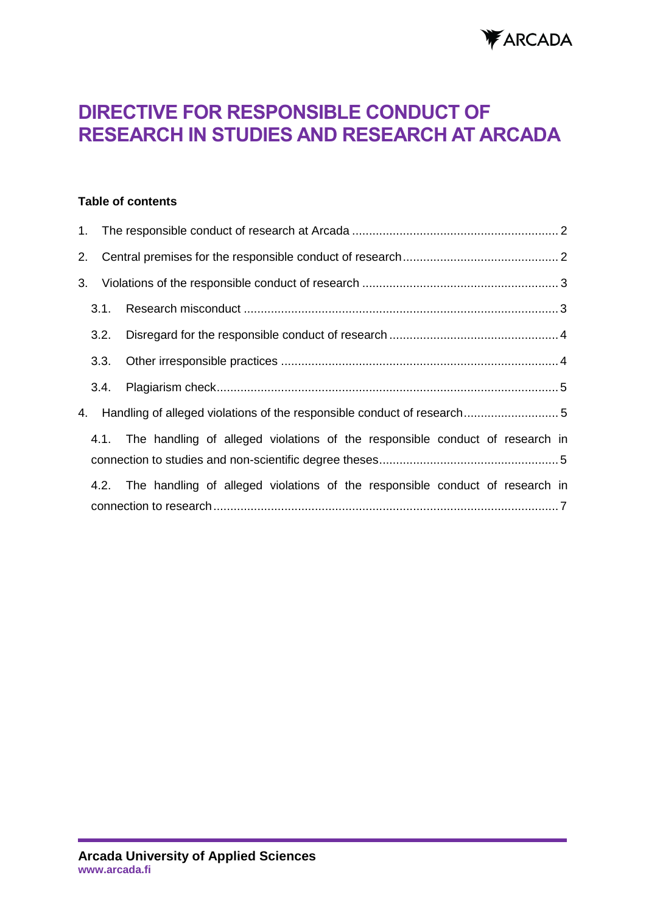

# **DIRECTIVE FOR RESPONSIBLE CONDUCT OF RESEARCH IN STUDIES AND RESEARCH AT ARCADA**

### **Table of contents**

| 2. |      |                                                                                   |  |
|----|------|-----------------------------------------------------------------------------------|--|
| 3. |      |                                                                                   |  |
|    | 3.1. |                                                                                   |  |
|    | 3.2. |                                                                                   |  |
|    | 3.3. |                                                                                   |  |
|    | 3.4. |                                                                                   |  |
| 4. |      |                                                                                   |  |
|    |      | 4.1. The handling of alleged violations of the responsible conduct of research in |  |
|    |      |                                                                                   |  |
|    |      | 4.2. The handling of alleged violations of the responsible conduct of research in |  |
|    |      |                                                                                   |  |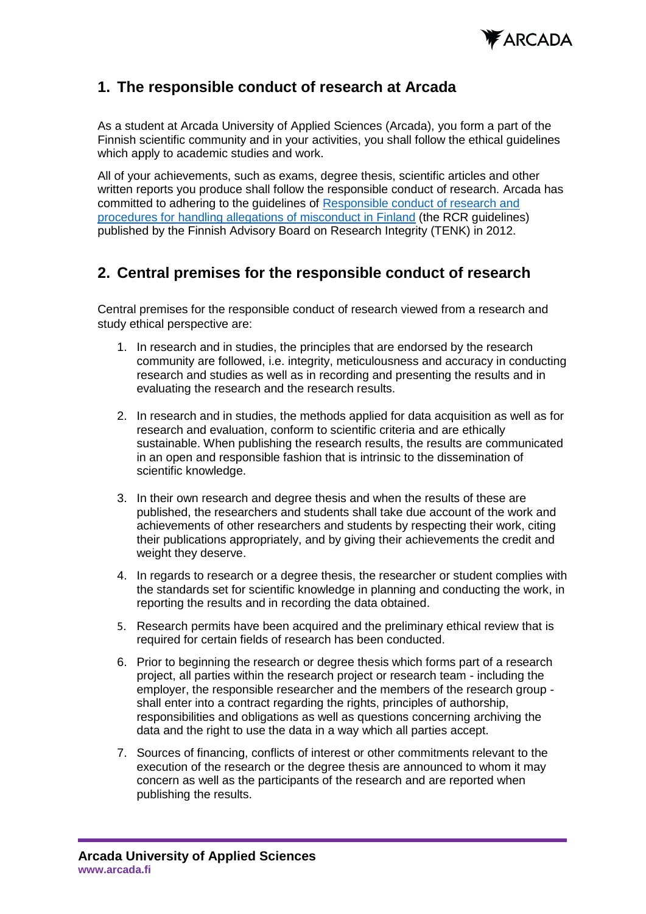

# <span id="page-1-0"></span>**1. The responsible conduct of research at Arcada**

As a student at Arcada University of Applied Sciences (Arcada), you form a part of the Finnish scientific community and in your activities, you shall follow the ethical guidelines which apply to academic studies and work.

All of your achievements, such as exams, degree thesis, scientific articles and other written reports you produce shall follow the responsible conduct of research. Arcada has committed to adhering to the guidelines of [Responsible conduct of research and](https://tenk.fi/en/research-misconduct/responsible-conduct-research-rcr)  [procedures for handling allegations of misconduct in Finland](https://tenk.fi/en/research-misconduct/responsible-conduct-research-rcr) (the RCR guidelines) published by the Finnish Advisory Board on Research Integrity (TENK) in 2012.

# <span id="page-1-1"></span>**2. Central premises for the responsible conduct of research**

Central premises for the responsible conduct of research viewed from a research and study ethical perspective are:

- 1. In research and in studies, the principles that are endorsed by the research community are followed, i.e. integrity, meticulousness and accuracy in conducting research and studies as well as in recording and presenting the results and in evaluating the research and the research results.
- 2. In research and in studies, the methods applied for data acquisition as well as for research and evaluation, conform to scientific criteria and are ethically sustainable. When publishing the research results, the results are communicated in an open and responsible fashion that is intrinsic to the dissemination of scientific knowledge.
- 3. In their own research and degree thesis and when the results of these are published, the researchers and students shall take due account of the work and achievements of other researchers and students by respecting their work, citing their publications appropriately, and by giving their achievements the credit and weight they deserve.
- 4. In regards to research or a degree thesis, the researcher or student complies with the standards set for scientific knowledge in planning and conducting the work, in reporting the results and in recording the data obtained.
- 5. Research permits have been acquired and the preliminary ethical review that is required for certain fields of research has been conducted.
- 6. Prior to beginning the research or degree thesis which forms part of a research project, all parties within the research project or research team - including the employer, the responsible researcher and the members of the research group shall enter into a contract regarding the rights, principles of authorship, responsibilities and obligations as well as questions concerning archiving the data and the right to use the data in a way which all parties accept.
- 7. Sources of financing, conflicts of interest or other commitments relevant to the execution of the research or the degree thesis are announced to whom it may concern as well as the participants of the research and are reported when publishing the results.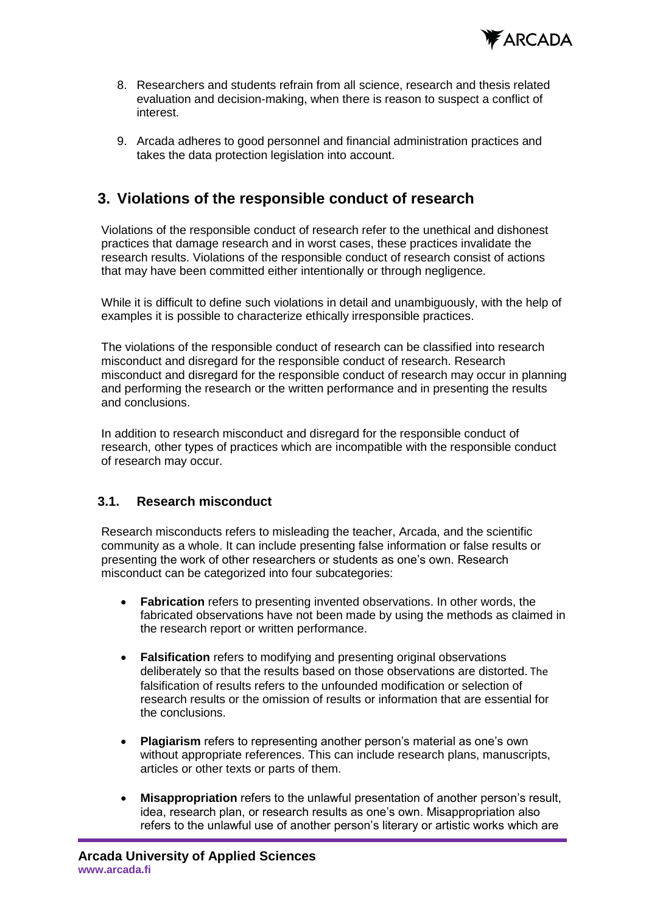

- 8. Researchers and students refrain from all science, research and thesis related evaluation and decision-making, when there is reason to suspect a conflict of interest.
- 9. Arcada adheres to good personnel and financial administration practices and takes the data protection legislation into account.

# <span id="page-2-0"></span>**3. Violations of the responsible conduct of research**

Violations of the responsible conduct of research refer to the unethical and dishonest practices that damage research and in worst cases, these practices invalidate the research results. Violations of the responsible conduct of research consist of actions that may have been committed either intentionally or through negligence.

While it is difficult to define such violations in detail and unambiguously, with the help of examples it is possible to characterize ethically irresponsible practices.

The violations of the responsible conduct of research can be classified into research misconduct and disregard for the responsible conduct of research. Research misconduct and disregard for the responsible conduct of research may occur in planning and performing the research or the written performance and in presenting the results and conclusions.

In addition to research misconduct and disregard for the responsible conduct of research, other types of practices which are incompatible with the responsible conduct of research may occur.

## <span id="page-2-1"></span>**3.1. Research misconduct**

Research misconducts refers to misleading the teacher, Arcada, and the scientific community as a whole. It can include presenting false information or false results or presenting the work of other researchers or students as one's own. Research misconduct can be categorized into four subcategories:

- **Fabrication** refers to presenting invented observations. In other words, the fabricated observations have not been made by using the methods as claimed in the research report or written performance.
- **Falsification** refers to modifying and presenting original observations deliberately so that the results based on those observations are distorted. The falsification of results refers to the unfounded modification or selection of research results or the omission of results or information that are essential for the conclusions.
- **Plagiarism** refers to representing another person's material as one's own without appropriate references. This can include research plans, manuscripts, articles or other texts or parts of them.
- **Misappropriation** refers to the unlawful presentation of another person's result, idea, research plan, or research results as one's own. Misappropriation also refers to the unlawful use of another person's literary or artistic works which are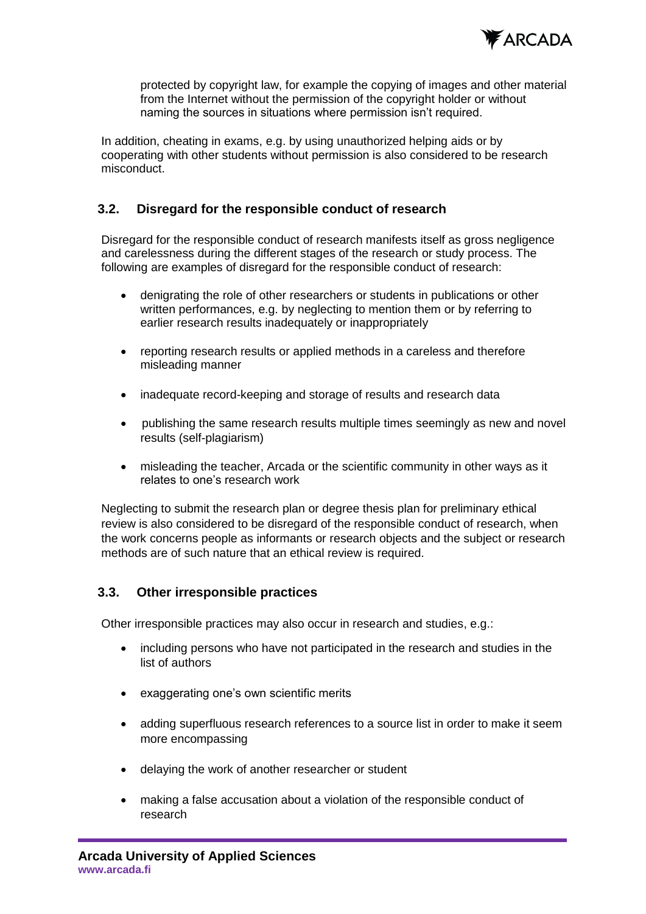

protected by copyright law, for example the copying of images and other material from the Internet without the permission of the copyright holder or without naming the sources in situations where permission isn't required.

In addition, cheating in exams, e.g. by using unauthorized helping aids or by cooperating with other students without permission is also considered to be research misconduct.

## <span id="page-3-0"></span>**3.2. Disregard for the responsible conduct of research**

Disregard for the responsible conduct of research manifests itself as gross negligence and carelessness during the different stages of the research or study process. The following are examples of disregard for the responsible conduct of research:

- denigrating the role of other researchers or students in publications or other written performances, e.g. by neglecting to mention them or by referring to earlier research results inadequately or inappropriately
- reporting research results or applied methods in a careless and therefore misleading manner
- inadequate record-keeping and storage of results and research data
- publishing the same research results multiple times seemingly as new and novel results (self-plagiarism)
- misleading the teacher, Arcada or the scientific community in other ways as it relates to one's research work

Neglecting to submit the research plan or degree thesis plan for preliminary ethical review is also considered to be disregard of the responsible conduct of research, when the work concerns people as informants or research objects and the subject or research methods are of such nature that an ethical review is required.

### <span id="page-3-1"></span>**3.3. Other irresponsible practices**

Other irresponsible practices may also occur in research and studies, e.g.:

- including persons who have not participated in the research and studies in the list of authors
- exaggerating one's own scientific merits
- adding superfluous research references to a source list in order to make it seem more encompassing
- delaying the work of another researcher or student
- making a false accusation about a violation of the responsible conduct of research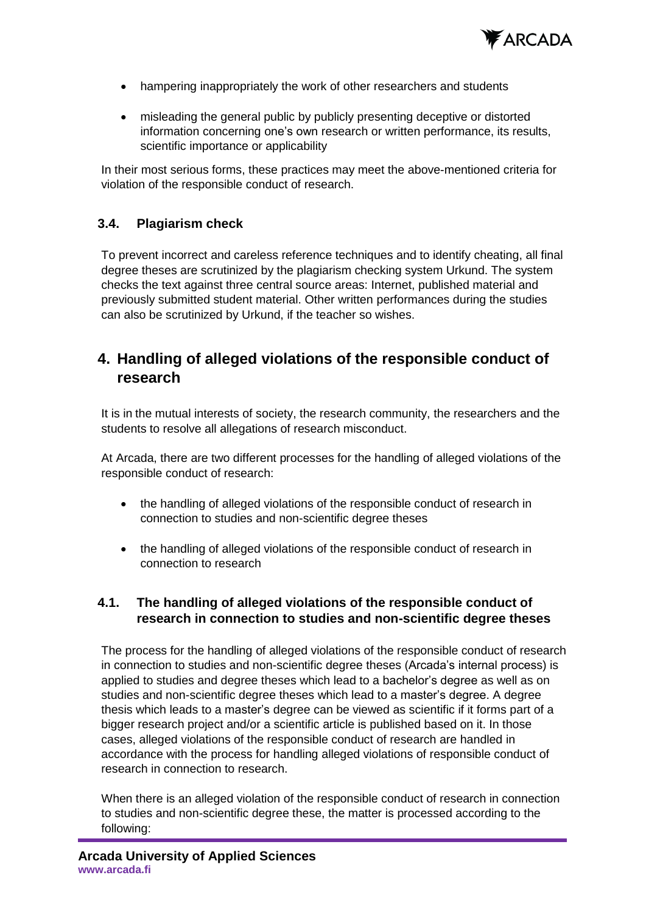

- hampering inappropriately the work of other researchers and students
- misleading the general public by publicly presenting deceptive or distorted information concerning one's own research or written performance, its results, scientific importance or applicability

In their most serious forms, these practices may meet the above-mentioned criteria for violation of the responsible conduct of research.

# <span id="page-4-0"></span>**3.4. Plagiarism check**

To prevent incorrect and careless reference techniques and to identify cheating, all final degree theses are scrutinized by the plagiarism checking system Urkund. The system checks the text against three central source areas: Internet, published material and previously submitted student material. Other written performances during the studies can also be scrutinized by Urkund, if the teacher so wishes.

# <span id="page-4-1"></span>**4. Handling of alleged violations of the responsible conduct of research**

It is in the mutual interests of society, the research community, the researchers and the students to resolve all allegations of research misconduct.

At Arcada, there are two different processes for the handling of alleged violations of the responsible conduct of research:

- the handling of alleged violations of the responsible conduct of research in connection to studies and non-scientific degree theses
- the handling of alleged violations of the responsible conduct of research in connection to research

# <span id="page-4-2"></span>**4.1. The handling of alleged violations of the responsible conduct of research in connection to studies and non-scientific degree theses**

The process for the handling of alleged violations of the responsible conduct of research in connection to studies and non-scientific degree theses (Arcada's internal process) is applied to studies and degree theses which lead to a bachelor's degree as well as on studies and non-scientific degree theses which lead to a master's degree. A degree thesis which leads to a master's degree can be viewed as scientific if it forms part of a bigger research project and/or a scientific article is published based on it. In those cases, alleged violations of the responsible conduct of research are handled in accordance with the process for handling alleged violations of responsible conduct of research in connection to research.

When there is an alleged violation of the responsible conduct of research in connection to studies and non-scientific degree these, the matter is processed according to the following: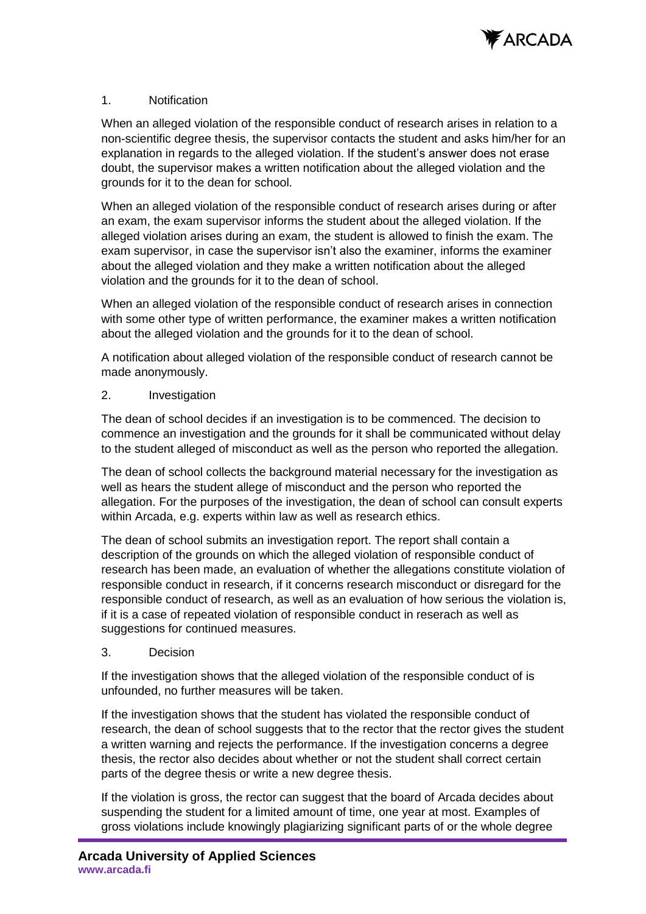

#### 1. Notification

When an alleged violation of the responsible conduct of research arises in relation to a non-scientific degree thesis, the supervisor contacts the student and asks him/her for an explanation in regards to the alleged violation. If the student's answer does not erase doubt, the supervisor makes a written notification about the alleged violation and the grounds for it to the dean for school.

When an alleged violation of the responsible conduct of research arises during or after an exam, the exam supervisor informs the student about the alleged violation. If the alleged violation arises during an exam, the student is allowed to finish the exam. The exam supervisor, in case the supervisor isn't also the examiner, informs the examiner about the alleged violation and they make a written notification about the alleged violation and the grounds for it to the dean of school.

When an alleged violation of the responsible conduct of research arises in connection with some other type of written performance, the examiner makes a written notification about the alleged violation and the grounds for it to the dean of school.

A notification about alleged violation of the responsible conduct of research cannot be made anonymously.

#### 2. Investigation

The dean of school decides if an investigation is to be commenced. The decision to commence an investigation and the grounds for it shall be communicated without delay to the student alleged of misconduct as well as the person who reported the allegation.

The dean of school collects the background material necessary for the investigation as well as hears the student allege of misconduct and the person who reported the allegation. For the purposes of the investigation, the dean of school can consult experts within Arcada, e.g. experts within law as well as research ethics.

The dean of school submits an investigation report. The report shall contain a description of the grounds on which the alleged violation of responsible conduct of research has been made, an evaluation of whether the allegations constitute violation of responsible conduct in research, if it concerns research misconduct or disregard for the responsible conduct of research, as well as an evaluation of how serious the violation is, if it is a case of repeated violation of responsible conduct in reserach as well as suggestions for continued measures.

### 3. Decision

If the investigation shows that the alleged violation of the responsible conduct of is unfounded, no further measures will be taken.

If the investigation shows that the student has violated the responsible conduct of research, the dean of school suggests that to the rector that the rector gives the student a written warning and rejects the performance. If the investigation concerns a degree thesis, the rector also decides about whether or not the student shall correct certain parts of the degree thesis or write a new degree thesis.

If the violation is gross, the rector can suggest that the board of Arcada decides about suspending the student for a limited amount of time, one year at most. Examples of gross violations include knowingly plagiarizing significant parts of or the whole degree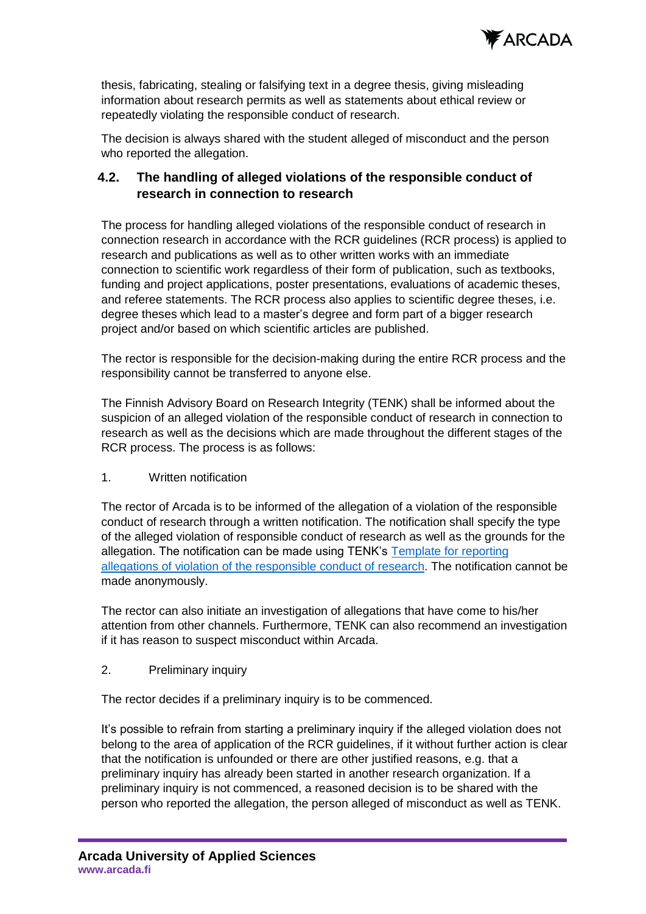

thesis, fabricating, stealing or falsifying text in a degree thesis, giving misleading information about research permits as well as statements about ethical review or repeatedly violating the responsible conduct of research.

The decision is always shared with the student alleged of misconduct and the person who reported the allegation.

# <span id="page-6-0"></span>**4.2. The handling of alleged violations of the responsible conduct of research in connection to research**

The process for handling alleged violations of the responsible conduct of research in connection research in accordance with the RCR guidelines (RCR process) is applied to research and publications as well as to other written works with an immediate connection to scientific work regardless of their form of publication, such as textbooks, funding and project applications, poster presentations, evaluations of academic theses, and referee statements. The RCR process also applies to scientific degree theses, i.e. degree theses which lead to a master's degree and form part of a bigger research project and/or based on which scientific articles are published.

The rector is responsible for the decision-making during the entire RCR process and the responsibility cannot be transferred to anyone else.

The Finnish Advisory Board on Research Integrity (TENK) shall be informed about the suspicion of an alleged violation of the responsible conduct of research in connection to research as well as the decisions which are made throughout the different stages of the RCR process. The process is as follows:

## 1. Written notification

The rector of Arcada is to be informed of the allegation of a violation of the responsible conduct of research through a written notification. The notification shall specify the type of the alleged violation of responsible conduct of research as well as the grounds for the allegation. The notification can be made using TENK's [Template for reporting](https://tenk.fi/en/research-misconduct/responsible-conduct-research-rcr)  [allegations of violation of the responsible conduct of research.](https://tenk.fi/en/research-misconduct/responsible-conduct-research-rcr) The notification cannot be made anonymously.

The rector can also initiate an investigation of allegations that have come to his/her attention from other channels. Furthermore, TENK can also recommend an investigation if it has reason to suspect misconduct within Arcada.

## 2. Preliminary inquiry

The rector decides if a preliminary inquiry is to be commenced.

It's possible to refrain from starting a preliminary inquiry if the alleged violation does not belong to the area of application of the RCR guidelines, if it without further action is clear that the notification is unfounded or there are other justified reasons, e.g. that a preliminary inquiry has already been started in another research organization. If a preliminary inquiry is not commenced, a reasoned decision is to be shared with the person who reported the allegation, the person alleged of misconduct as well as TENK.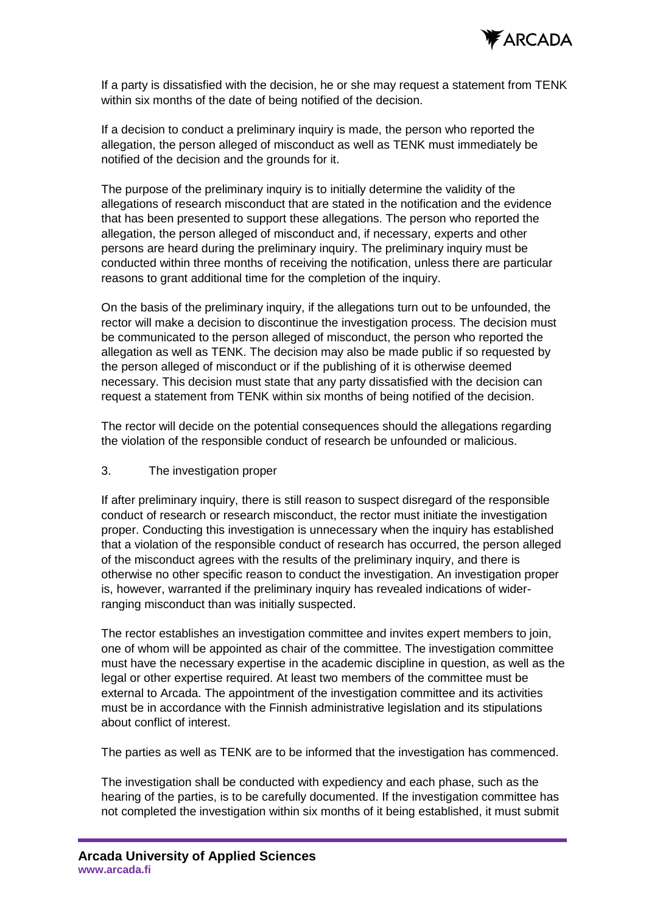

If a party is dissatisfied with the decision, he or she may request a statement from TENK within six months of the date of being notified of the decision.

If a decision to conduct a preliminary inquiry is made, the person who reported the allegation, the person alleged of misconduct as well as TENK must immediately be notified of the decision and the grounds for it.

The purpose of the preliminary inquiry is to initially determine the validity of the allegations of research misconduct that are stated in the notification and the evidence that has been presented to support these allegations. The person who reported the allegation, the person alleged of misconduct and, if necessary, experts and other persons are heard during the preliminary inquiry. The preliminary inquiry must be conducted within three months of receiving the notification, unless there are particular reasons to grant additional time for the completion of the inquiry.

On the basis of the preliminary inquiry, if the allegations turn out to be unfounded, the rector will make a decision to discontinue the investigation process. The decision must be communicated to the person alleged of misconduct, the person who reported the allegation as well as TENK. The decision may also be made public if so requested by the person alleged of misconduct or if the publishing of it is otherwise deemed necessary. This decision must state that any party dissatisfied with the decision can request a statement from TENK within six months of being notified of the decision.

The rector will decide on the potential consequences should the allegations regarding the violation of the responsible conduct of research be unfounded or malicious.

3. The investigation proper

If after preliminary inquiry, there is still reason to suspect disregard of the responsible conduct of research or research misconduct, the rector must initiate the investigation proper. Conducting this investigation is unnecessary when the inquiry has established that a violation of the responsible conduct of research has occurred, the person alleged of the misconduct agrees with the results of the preliminary inquiry, and there is otherwise no other specific reason to conduct the investigation. An investigation proper is, however, warranted if the preliminary inquiry has revealed indications of widerranging misconduct than was initially suspected.

The rector establishes an investigation committee and invites expert members to join, one of whom will be appointed as chair of the committee. The investigation committee must have the necessary expertise in the academic discipline in question, as well as the legal or other expertise required. At least two members of the committee must be external to Arcada. The appointment of the investigation committee and its activities must be in accordance with the Finnish administrative legislation and its stipulations about conflict of interest.

The parties as well as TENK are to be informed that the investigation has commenced.

The investigation shall be conducted with expediency and each phase, such as the hearing of the parties, is to be carefully documented. If the investigation committee has not completed the investigation within six months of it being established, it must submit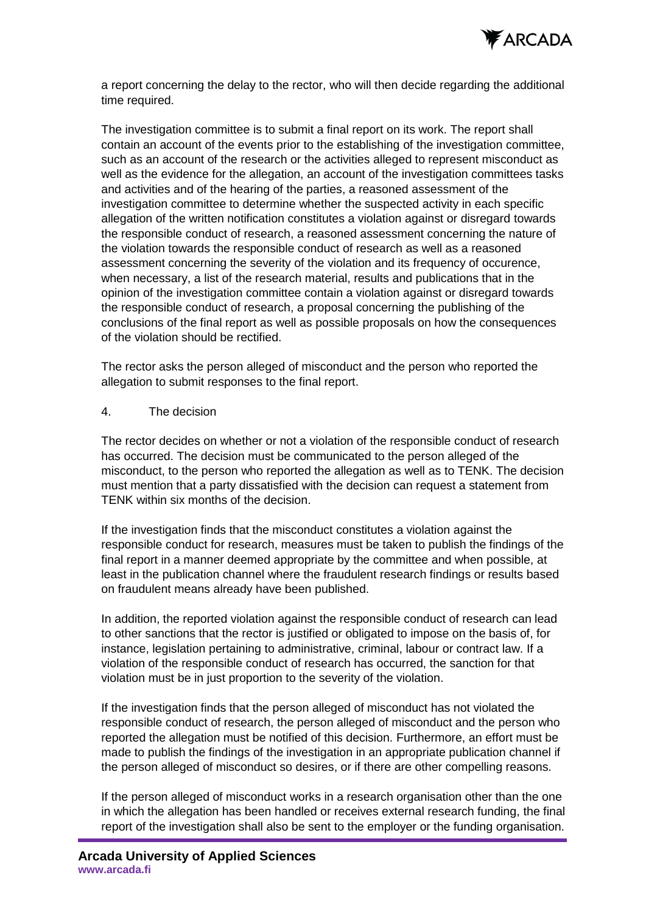

a report concerning the delay to the rector, who will then decide regarding the additional time required.

The investigation committee is to submit a final report on its work. The report shall contain an account of the events prior to the establishing of the investigation committee, such as an account of the research or the activities alleged to represent misconduct as well as the evidence for the allegation, an account of the investigation committees tasks and activities and of the hearing of the parties, a reasoned assessment of the investigation committee to determine whether the suspected activity in each specific allegation of the written notification constitutes a violation against or disregard towards the responsible conduct of research, a reasoned assessment concerning the nature of the violation towards the responsible conduct of research as well as a reasoned assessment concerning the severity of the violation and its frequency of occurence, when necessary, a list of the research material, results and publications that in the opinion of the investigation committee contain a violation against or disregard towards the responsible conduct of research, a proposal concerning the publishing of the conclusions of the final report as well as possible proposals on how the consequences of the violation should be rectified.

The rector asks the person alleged of misconduct and the person who reported the allegation to submit responses to the final report.

#### 4. The decision

The rector decides on whether or not a violation of the responsible conduct of research has occurred. The decision must be communicated to the person alleged of the misconduct, to the person who reported the allegation as well as to TENK. The decision must mention that a party dissatisfied with the decision can request a statement from TENK within six months of the decision.

If the investigation finds that the misconduct constitutes a violation against the responsible conduct for research, measures must be taken to publish the findings of the final report in a manner deemed appropriate by the committee and when possible, at least in the publication channel where the fraudulent research findings or results based on fraudulent means already have been published.

In addition, the reported violation against the responsible conduct of research can lead to other sanctions that the rector is justified or obligated to impose on the basis of, for instance, legislation pertaining to administrative, criminal, labour or contract law. If a violation of the responsible conduct of research has occurred, the sanction for that violation must be in just proportion to the severity of the violation.

If the investigation finds that the person alleged of misconduct has not violated the responsible conduct of research, the person alleged of misconduct and the person who reported the allegation must be notified of this decision. Furthermore, an effort must be made to publish the findings of the investigation in an appropriate publication channel if the person alleged of misconduct so desires, or if there are other compelling reasons.

If the person alleged of misconduct works in a research organisation other than the one in which the allegation has been handled or receives external research funding, the final report of the investigation shall also be sent to the employer or the funding organisation.